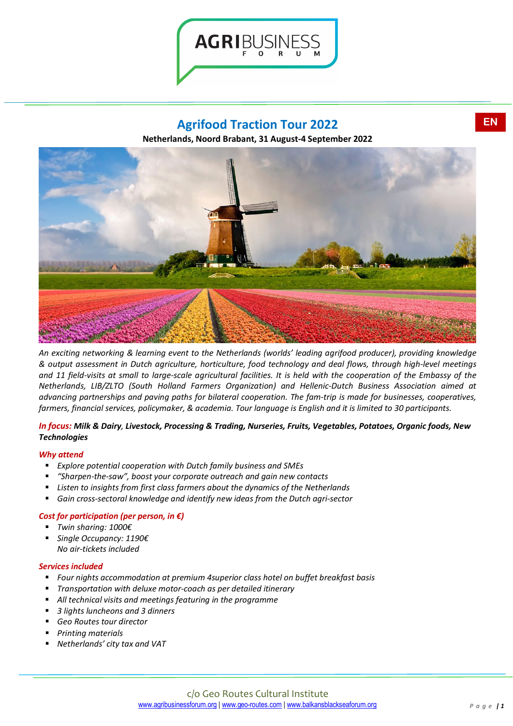

# **Agrifood Traction Tour 2022**

**Netherlands, Noord Brabant, 31 August-4 September 2022** 



*An exciting networking & learning event to the Netherlands (worlds' leading agrifood producer), providing knowledge & output assessment in Dutch agriculture, horticulture, food technology and deal flows, through high-level meetings and 11 field-visits at small to large-scale agricultural facilities. It is held with the cooperation of the Embassy of the Netherlands, LIB/ZLTO (South Holland Farmers Organization) and Hellenic-Dutch Business Association aimed at advancing partnerships and paving paths for bilateral cooperation. The fam-trip is made for businesses, cooperatives, farmers, financial services, policymaker, & academia. Tour language is English and it is limited to 30 participants.* 

### *In focus: Milk & Dairy, Livestock, Processing & Trading, Nurseries, Fruits, Vegetables, Potatoes, Organic foods, New Technologies*

#### *Why attend*

- *Explore potential cooperation with Dutch family business and SMEs*
- *"Sharpen-the-saw", boost your corporate outreach and gain new contacts*
- *Listen to insights from first class farmers about the dynamics of the Netherlands*
- *Gain cross-sectoral knowledge and identify new ideas from the Dutch agri-sector*

### *Cost for participation (per person, in €)*

- *Twin sharing: 1000€*
- *Single Occupancy: 1190€ No air-tickets included*

#### *Services included*

- *Four nights accommodation at premium 4superior class hotel on buffet breakfast basis*
- *Transportation with deluxe motor-coach as per detailed itinerary*
- *All technical visits and meetings featuring in the programme*
- *3 lights luncheons and 3 dinners*
- *Geo Routes tour director*
- *Printing materials*
- *Netherlands' city tax and VAT*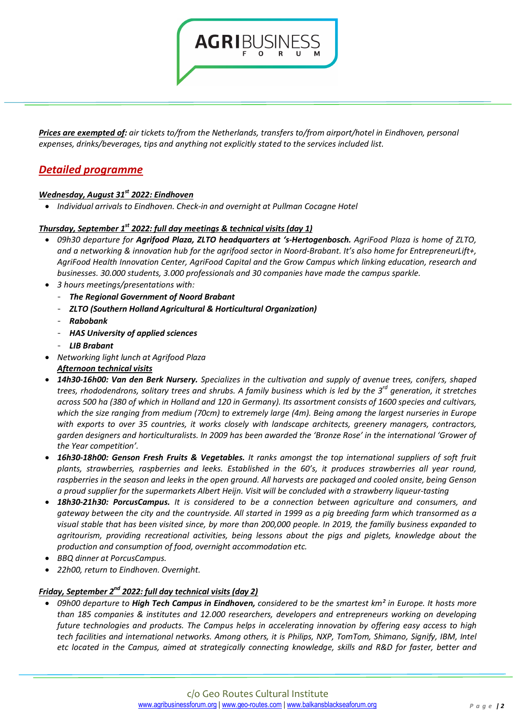*Prices are exempted of: air tickets to/from the Netherlands, transfers to/from airport/hotel in Eindhoven, personal expenses, drinks/beverages, tips and anything not explicitly stated to the services included list.*

**AGRIBUSII** 

## *Detailed programme*

### *Wednesday, August 31<sup>st</sup> 2022: Eindhoven*

• *Individual arrivals to Eindhoven. Check-in and overnight at Pullman Cocagne Hotel*

### *Thursday, September 1st 2022: full day meetings & technical visits (day 1)*

- *09h30 departure for Agrifood Plaza, ZLTO headquarters at 's-Hertogenbosch. AgriFood Plaza is home of ZLTO, and a networking & innovation hub for the agrifood sector in Noord-Brabant. It's also home for EntrepreneurLift+, AgriFood Health Innovation Center, AgriFood Capital and the Grow Campus which linking education, research and businesses. 30.000 students, 3.000 professionals and 30 companies have made the campus sparkle.*
- *3 hours meetings/presentations with:* 
	- *The Regional Government of Noord Brabant*
	- *ZLTO (Southern Holland Agricultural & Horticultural Organization)*
	- *Rabobank*
	- *HAS University of applied sciences*
	- *LIB Brabant*
- *Networking light lunch at Agrifood Plaza Afternoon technical visits*
- *14h30-16h00: Van den Berk Nursery. Specializes in the cultivation and supply of avenue trees, conifers, shaped trees, rhododendrons, solitary trees and shrubs. A family business which is led by the 3rd generation, it stretches across 500 ha (380 of which in Holland and 120 in Germany). Its assortment consists of 1600 species and cultivars, which the size ranging from medium (70cm) to extremely large (4m). Being among the largest nurseries in Europe with exports to over 35 countries, it works closely with landscape architects, greenery managers, contractors, garden designers and horticulturalists. In 2009 has been awarded the 'Bronze Rose' in the international 'Grower of the Year competition'.*
- *16h30-18h00: Genson Fresh Fruits & Vegetables. It ranks amongst the top international suppliers of soft fruit plants, strawberries, raspberries and leeks. Established in the 60's, it produces strawberries all year round, raspberries in the season and leeks in the open ground. All harvests are packaged and cooled onsite, being Genson a proud supplier for the supermarkets Albert Heijn. Visit will be concluded with a strawberry liqueur-tasting*
- *18h30-21h30: PorcusCampus. It is considered to be a connection between agriculture and consumers, and gateway between the city and the countryside. All started in 1999 as a pig breeding farm which transormed as a visual stable that has been visited since, by more than 200,000 people. In 2019, the familly business expanded to agritourism, providing recreational activities, being lessons about the pigs and piglets, knowledge about the production and consumption of food, overnight accommodation etc.*
- *BBQ dinner at PorcusCampus.*
- *22h00, return to Eindhoven. Overnight.*

### *Friday, September 2nd 2022: full day technical visits (day 2)*

• *09h00 departure to High Tech Campus in Eindhoven, considered to be the smartest km² in Europe. It hosts more than 185 companies & institutes and 12.000 researchers, developers and entrepreneurs working on developing future technologies and products. The Campus helps in accelerating innovation by offering easy access to high tech facilities and international networks. Among others, it is Philips, NXP, TomTom, Shimano, Signify, IBM, Intel etc located in the Campus, aimed at strategically connecting knowledge, skills and R&D for faster, better and*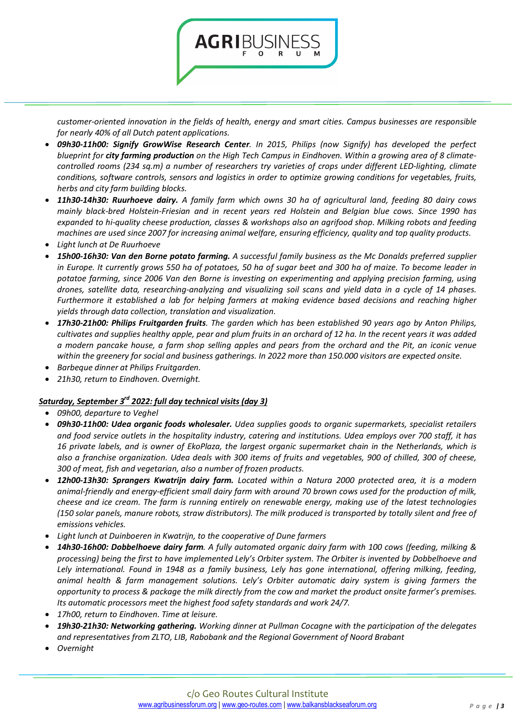

*customer-oriented innovation in the fields of health, energy and smart cities. Campus businesses are responsible for nearly 40% of all Dutch patent applications.*

- *09h30-11h00: Signify GrowWise Research Center. In 2015, Philips (now Signify) has developed the perfect blueprint for city farming production on the High Tech Campus in Eindhoven. Within a growing area of 8 climatecontrolled rooms (234 sq.m) a number of researchers try varieties of crops under different LED-lighting, climate conditions, software controls, sensors and logistics in order to optimize growing conditions for vegetables, fruits, herbs and city farm building blocks.*
- *11h30-14h30: Ruurhoeve dairy. A family farm which owns 30 ha of agricultural land, feeding 80 dairy cows mainly black-bred Holstein-Friesian and in recent years red Holstein and Belgian blue cows. Since 1990 has expanded to hi-quality cheese production, classes & workshops also an agrifood shop. Milking robots and feeding machines are used since 2007 for increasing animal welfare, ensuring efficiency, quality and top quality products.*
- *Light lunch at De Ruurhoeve*
- *15h00-16h30: Van den Borne potato farming. A successful family business as the Mc Donalds preferred supplier in Europe. It currently grows 550 ha of potatoes, 50 ha of sugar beet and 300 ha of maize. To become leader in potatoe farming, since 2006 Van den Borne is investing on experimenting and applying precision farming, using drones, satellite data, researching-analyzing and visualizing soil scans and yield data in a cycle of 14 phases. Furthermore it established a lab for helping farmers at making evidence based decisions and reaching higher yields through data collection, translation and visualization.*
- *17h30-21h00: Philips Fruitgarden fruits. The garden which has been established 90 years ago by Anton Philips, cultivates and supplies healthy apple, pear and plum fruits in an orchard of 12 ha. In the recent years it was added a modern pancake house, a farm shop selling apples and pears from the orchard and the Pit, an iconic venue within the greenery for social and business gatherings. In 2022 more than 150.000 visitors are expected onsite.*
- *Barbeque dinner at Philips Fruitgarden.*
- *21h30, return to Eindhoven. Overnight.*

### *Saturday, September 3rd 2022: full day technical visits (day 3)*

- *09h00, departure to Veghel*
- *09h30-11h00: Udea organic foods wholesaler. Udea supplies goods to organic supermarkets, specialist retailers and food service outlets in the hospitality industry, catering and institutions. Udea employs over 700 staff, it has 16 private labels, and is owner of EkoPlaza, the largest organic supermarket chain in the Netherlands, which is also a franchise organization. Udea deals with 300 items of fruits and vegetables, 900 of chilled, 300 of cheese, 300 of meat, fish and vegetarian, also a number of frozen products.*
- *12h00-13h30: Sprangers Kwatrijn dairy farm. Located within a Natura 2000 protected area, it is a modern animal-friendly and energy-efficient small dairy farm with around 70 brown cows used for the production of milk, cheese and ice cream. The farm is running entirely on renewable energy, making use of the latest technologies (150 solar panels, manure robots, straw distributors). The milk produced is transported by totally silent and free of emissions vehicles.*
- *Light lunch at Duinboeren in Kwatrijn, to the cooperative of Dune farmers*
- *14h30-16h00: Dobbelhoeve dairy farm. A fully automated organic dairy farm with 100 cows (feeding, milking & processing) being the first to have implemented Lely's Orbiter system. The Orbiter is invented by Dobbelhoeve and Lely international. Found in 1948 as a family business, Lely has gone international, offering milking, feeding, animal health & farm management solutions. Lely's Orbiter automatic dairy system is giving farmers the opportunity to process & package the milk directly from the cow and market the product onsite farmer's premises. Its automatic processors meet the highest food safety standards and work 24/7.*
- *17h00, return to Eindhoven. Time at leisure.*
- *19h30-21h30: Networking gathering. Working dinner at Pullman Cocagne with the participation of the delegates and representatives from ZLTO, LIB, Rabobank and the Regional Government of Noord Brabant*
- *Overnight*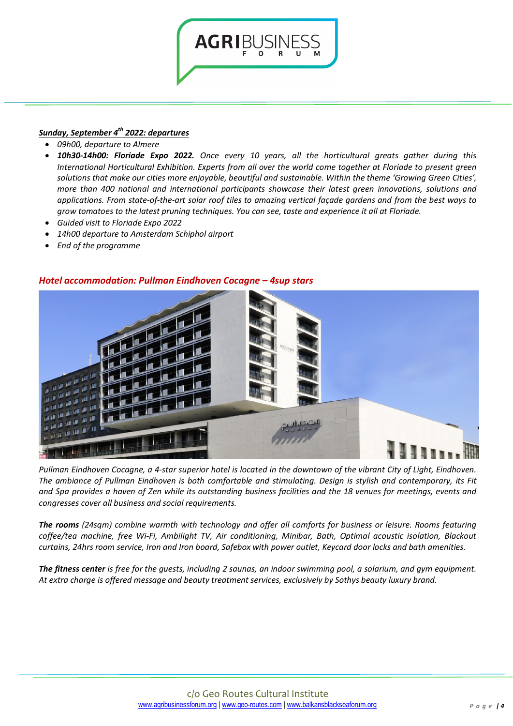### *Sunday, September 4th 2022: departures*

- *09h00, departure to Almere*
- *10h30-14h00: Floriade Expo 2022. Once every 10 years, all the horticultural greats gather during this International Horticultural Exhibition. Experts from all over the world come together at Floriade to present green solutions that make our cities more enjoyable, beautiful and sustainable. Within the theme 'Growing Green Cities', more than 400 national and international participants showcase their latest green innovations, solutions and applications. From state-of-the-art solar roof tiles to amazing vertical façade gardens and from the best ways to grow tomatoes to the latest pruning techniques. You can see, taste and experience it all at Floriade.*

**AGRIBUSI** 

- *Guided visit to Floriade Expo 2022*
- *14h00 departure to Amsterdam Schiphol airport*
- *End of the programme*



### *Hotel accommodation: Pullman Eindhoven Cocagne – 4sup stars*

*Pullman Eindhoven Cocagne, a 4-star superior hotel is located in the downtown of the vibrant City of Light, Eindhoven. The ambiance of Pullman Eindhoven is both comfortable and stimulating. Design is stylish and contemporary, its Fit and Spa provides a haven of Zen while its outstanding business facilities and the 18 venues for meetings, events and congresses cover all business and social requirements.*

*The rooms (24sqm) combine warmth with technology and offer all comforts for business or leisure. Rooms featuring coffee/tea machine, free Wi-Fi, Ambilight TV, Air conditioning, Minibar, Bath, Optimal acoustic isolation, Blackout curtains, 24hrs room service, Iron and Iron board, Safebox with power outlet, Keycard door locks and bath amenities.* 

*The fitness center is free for the guests, including 2 saunas, an indoor swimming pool, a solarium, and gym equipment. At extra charge is offered message and beauty treatment services, exclusively by Sothys beauty luxury brand.*